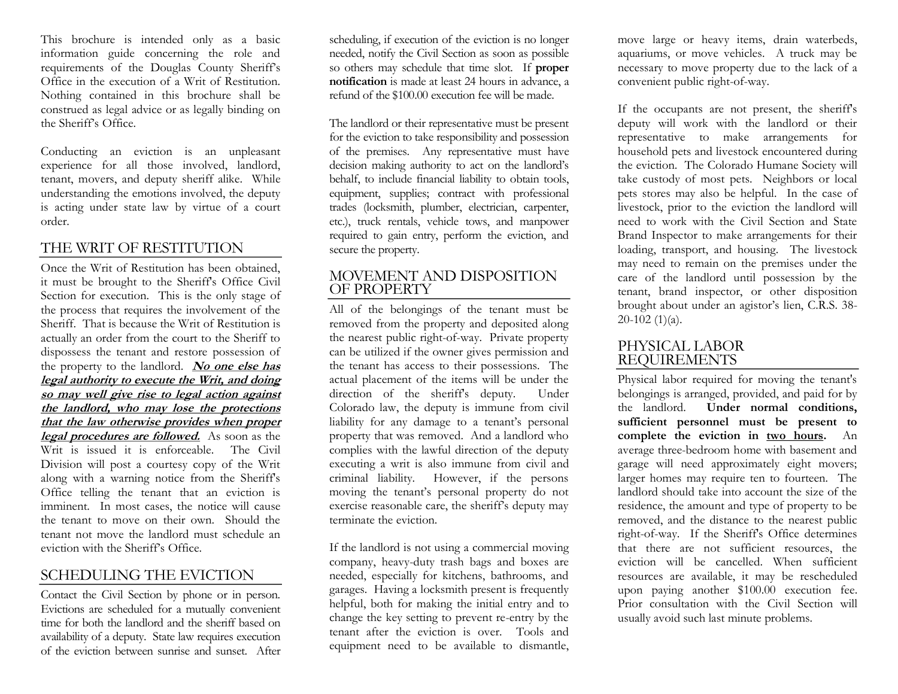This brochure is intended only as a basic information guide concerning the role and requirements of the Douglas County Sheriff's<br>Office in the execution of a Writ of Restitution. Nothing contained in this brochure shall be construed as legal advice or as legally binding on the Sheriff's Office.

Conducting an eviction is an unpleasant experience for all those involved, landlord, tenant, movers, and deputy sheriff alike. While understanding the emotions involved, the deputy is acting under state law by virtue of a court order.

## THE WRIT OF RESTITUTION

Once the Writ of Restitution has been obtained, it must be brought to the Sheriff's Office Civil Section for execution. This is the only stage of the process that requires the involvement of the Sheriff. That is because the Writ of Restitution is actually an order from the court to the Sheriff to dispossess the tenant and restore possession of the property to the landlord. **No one else has legal authority to execute the Writ, and doing so may well give rise to legal action against the landlord, who may lose the protections that the law otherwise provides when proper legal procedures are followed.** As soon as the Writ is issued it is enforceable. The Civil Division will post a courtesy copy of the Writ along with a warning notice from the Sheriff's Office telling the tenant that an eviction is imminent. In most cases, the notice will cause the tenant to move on their own. Should the tenant not move the landlord must schedule an eviction with the Sheriff's Office.

## SCHEDULING THE EVICTION

Contact the Civil Section by phone or in person. Evictions are scheduled for <sup>a</sup> mutually convenient time for both the landlord and the sheriff based on availability of a deputy. State law requires execution of the eviction between sunrise and sunset. After scheduling, if execution of the eviction is no longer needed, notify the Civil Section as soon as possible so others may schedule that time slot. If **proper notification** is made at least 24 hours in advance, a refund of the \$100.00 execution fee will be made.

The landlord or their representative must be present for the eviction to take responsibility and possession of the premises. Any representative must have decision making authority to act on the landlord's<br>behalf, to include financial liability to obtain tools, equipment, supplies; contract with professional trades (locksmith, plumber, electrician, carpenter, etc.), truck rentals, vehicle tows, and manpower required to gain entry, perform the eviction, and secure the property.

### MOVEMENT AND DISPOSITION OF PROPERTY

All of the belongings of the tenant must be removed from the property and deposited along the nearest public right-of-way. Private property can be utilized if the owner gives permission and the tenant has access to their possessions. The actual placement of the items will be under the direction of the sheriff's deputy. Under Colorado law, the deputy is immune from civil liability for any damage to a tenant's personal property that was removed. And a landlord who complies with the lawful direction of the deputy executing a writ is also immune from civil and criminal liability. However, if the persons moving the tenant's personal property do not exercise reasonable care, the sheriff's deputy may terminate the eviction.

If the landlord is not using a commercial moving company, heavy-duty trash bags and boxes are needed, especially for kitchens, bathrooms, and garages. Having a locksmith present is frequently helpful, both for making the initial entry and to change the key setting to prevent re-entry by the tenant after the eviction is over. Tools and equipment need to be available to dismantle,

move large or heavy items, drain waterbeds, aquariums, or move vehicles. A truck may be necessary to move property due to the lack of a convenient public right-of-way.

If the occupants are not present, the sheriff's deputy will work with the landlord or their representative to make arrangements for household pets and livestock encountered during the eviction. The Colorado Humane Society will take custody of most pets. Neighbors or local pets stores may also be helpful. In the case of livestock, prior to the eviction the landlord will need to work with the Civil Section and State Brand Inspector to make arrangements for their loading, transport, and housing. The livestock may need to remain on the premises under the care of the landlord until possession by the tenant, brand inspector, or other disposition brought about under an agistor's lien, C.R.S. 38-  $20-102$  (1)(a).

## PHYSICAL LABOR REQUIREMENTS

Physical labor required for moving the tenant's belongings is arranged, provided, and paid for by<br>the landlord. **Under normal conditions,** sufficient personnel must be present to **complete the eviction in two hours.** An average three-bedroom home with basement and garage will need approximately eight movers; larger homes may require ten to fourteen. The landlord should take into account the size of the residence, the amount and type of property to be removed, and the distance to the nearest public right-of-way. If the Sheriff's Office determines that there are not sufficient resources, the eviction will be cancelled. When sufficient resources are available, it may be rescheduled upon paying another \$100.00 execution fee. Prior consultation with the Civil Section will usually avoid such last minute problems.